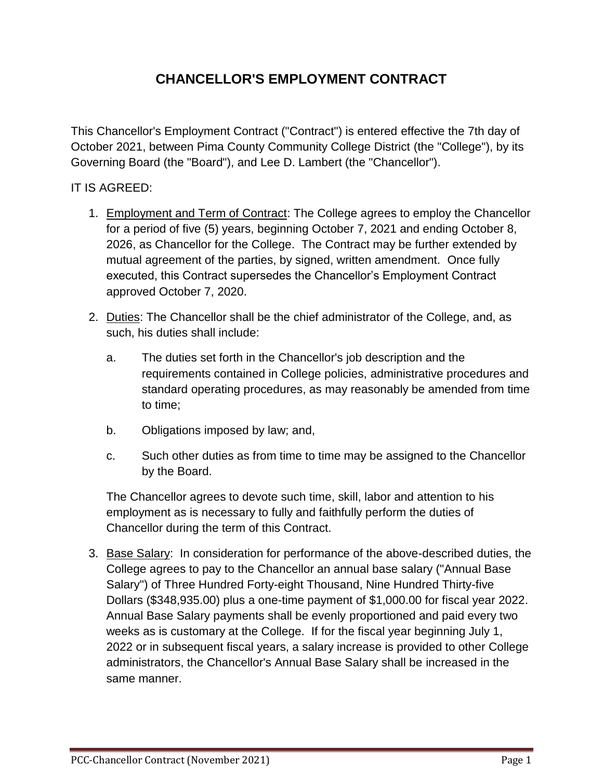## **CHANCELLOR'S EMPLOYMENT CONTRACT**

This Chancellor's Employment Contract ("Contract") is entered effective the 7th day of October 2021, between Pima County Community College District (the "College"), by its Governing Board (the "Board"), and Lee D. Lambert (the "Chancellor").

## IT IS AGREED:

- 1. Employment and Term of Contract: The College agrees to employ the Chancellor for a period of five (5) years, beginning October 7, 2021 and ending October 8, 2026, as Chancellor for the College. The Contract may be further extended by mutual agreement of the parties, by signed, written amendment. Once fully executed, this Contract supersedes the Chancellor's Employment Contract approved October 7, 2020.
- 2. Duties: The Chancellor shall be the chief administrator of the College, and, as such, his duties shall include:
	- a. The duties set forth in the Chancellor's job description and the requirements contained in College policies, administrative procedures and standard operating procedures, as may reasonably be amended from time to time;
	- b. Obligations imposed by law; and,
	- c. Such other duties as from time to time may be assigned to the Chancellor by the Board.

The Chancellor agrees to devote such time, skill, labor and attention to his employment as is necessary to fully and faithfully perform the duties of Chancellor during the term of this Contract.

3. Base Salary: In consideration for performance of the above-described duties, the College agrees to pay to the Chancellor an annual base salary ("Annual Base Salary") of Three Hundred Forty-eight Thousand, Nine Hundred Thirty-five Dollars (\$348,935.00) plus a one-time payment of \$1,000.00 for fiscal year 2022. Annual Base Salary payments shall be evenly proportioned and paid every two weeks as is customary at the College. If for the fiscal year beginning July 1, 2022 or in subsequent fiscal years, a salary increase is provided to other College administrators, the Chancellor's Annual Base Salary shall be increased in the same manner.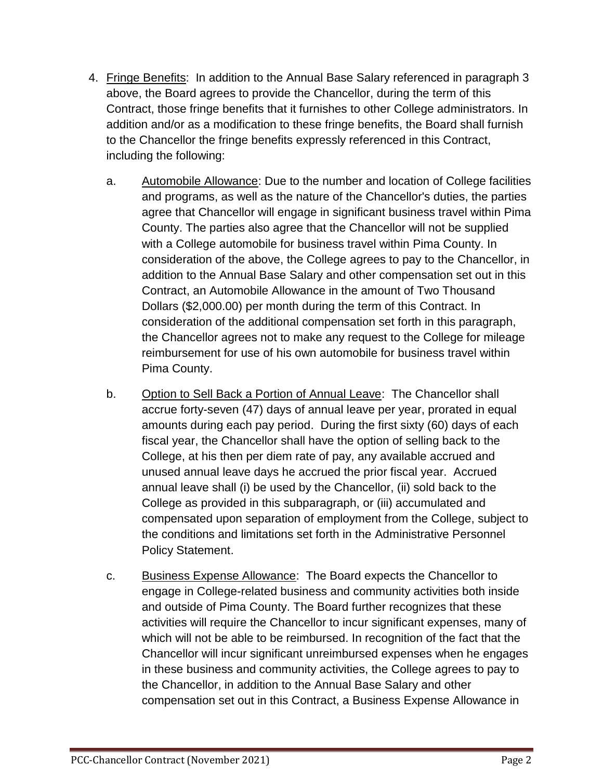- 4. Fringe Benefits: In addition to the Annual Base Salary referenced in paragraph 3 above, the Board agrees to provide the Chancellor, during the term of this Contract, those fringe benefits that it furnishes to other College administrators. In addition and/or as a modification to these fringe benefits, the Board shall furnish to the Chancellor the fringe benefits expressly referenced in this Contract, including the following:
	- a. Automobile Allowance: Due to the number and location of College facilities and programs, as well as the nature of the Chancellor's duties, the parties agree that Chancellor will engage in significant business travel within Pima County. The parties also agree that the Chancellor will not be supplied with a College automobile for business travel within Pima County. In consideration of the above, the College agrees to pay to the Chancellor, in addition to the Annual Base Salary and other compensation set out in this Contract, an Automobile Allowance in the amount of Two Thousand Dollars (\$2,000.00) per month during the term of this Contract. In consideration of the additional compensation set forth in this paragraph, the Chancellor agrees not to make any request to the College for mileage reimbursement for use of his own automobile for business travel within Pima County.
	- b. Option to Sell Back a Portion of Annual Leave: The Chancellor shall accrue forty-seven (47) days of annual leave per year, prorated in equal amounts during each pay period. During the first sixty (60) days of each fiscal year, the Chancellor shall have the option of selling back to the College, at his then per diem rate of pay, any available accrued and unused annual leave days he accrued the prior fiscal year. Accrued annual leave shall (i) be used by the Chancellor, (ii) sold back to the College as provided in this subparagraph, or (iii) accumulated and compensated upon separation of employment from the College, subject to the conditions and limitations set forth in the Administrative Personnel Policy Statement.
	- c. Business Expense Allowance: The Board expects the Chancellor to engage in College-related business and community activities both inside and outside of Pima County. The Board further recognizes that these activities will require the Chancellor to incur significant expenses, many of which will not be able to be reimbursed. In recognition of the fact that the Chancellor will incur significant unreimbursed expenses when he engages in these business and community activities, the College agrees to pay to the Chancellor, in addition to the Annual Base Salary and other compensation set out in this Contract, a Business Expense Allowance in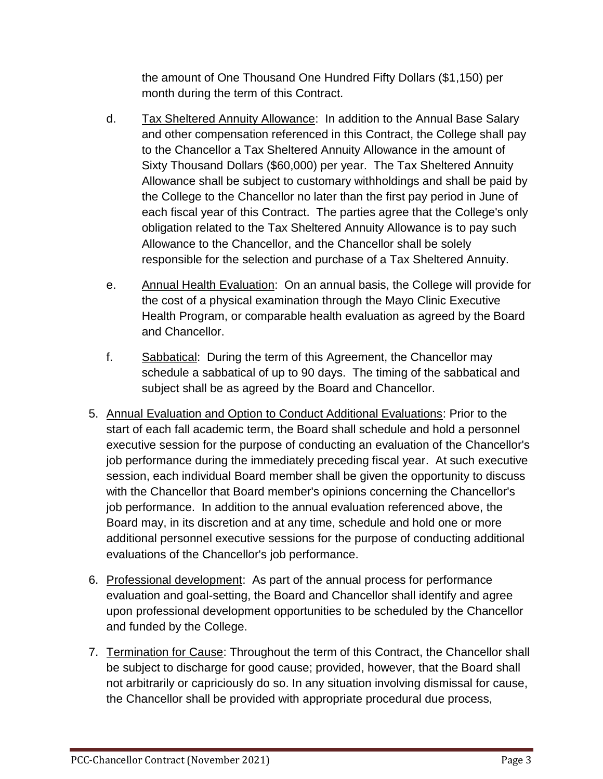the amount of One Thousand One Hundred Fifty Dollars (\$1,150) per month during the term of this Contract.

- d. Tax Sheltered Annuity Allowance: In addition to the Annual Base Salary and other compensation referenced in this Contract, the College shall pay to the Chancellor a Tax Sheltered Annuity Allowance in the amount of Sixty Thousand Dollars (\$60,000) per year. The Tax Sheltered Annuity Allowance shall be subject to customary withholdings and shall be paid by the College to the Chancellor no later than the first pay period in June of each fiscal year of this Contract. The parties agree that the College's only obligation related to the Tax Sheltered Annuity Allowance is to pay such Allowance to the Chancellor, and the Chancellor shall be solely responsible for the selection and purchase of a Tax Sheltered Annuity.
- e. Annual Health Evaluation: On an annual basis, the College will provide for the cost of a physical examination through the Mayo Clinic Executive Health Program, or comparable health evaluation as agreed by the Board and Chancellor.
- f. Sabbatical: During the term of this Agreement, the Chancellor may schedule a sabbatical of up to 90 days. The timing of the sabbatical and subject shall be as agreed by the Board and Chancellor.
- 5. Annual Evaluation and Option to Conduct Additional Evaluations: Prior to the start of each fall academic term, the Board shall schedule and hold a personnel executive session for the purpose of conducting an evaluation of the Chancellor's job performance during the immediately preceding fiscal year. At such executive session, each individual Board member shall be given the opportunity to discuss with the Chancellor that Board member's opinions concerning the Chancellor's job performance. In addition to the annual evaluation referenced above, the Board may, in its discretion and at any time, schedule and hold one or more additional personnel executive sessions for the purpose of conducting additional evaluations of the Chancellor's job performance.
- 6. Professional development: As part of the annual process for performance evaluation and goal-setting, the Board and Chancellor shall identify and agree upon professional development opportunities to be scheduled by the Chancellor and funded by the College.
- 7. Termination for Cause: Throughout the term of this Contract, the Chancellor shall be subject to discharge for good cause; provided, however, that the Board shall not arbitrarily or capriciously do so. In any situation involving dismissal for cause, the Chancellor shall be provided with appropriate procedural due process,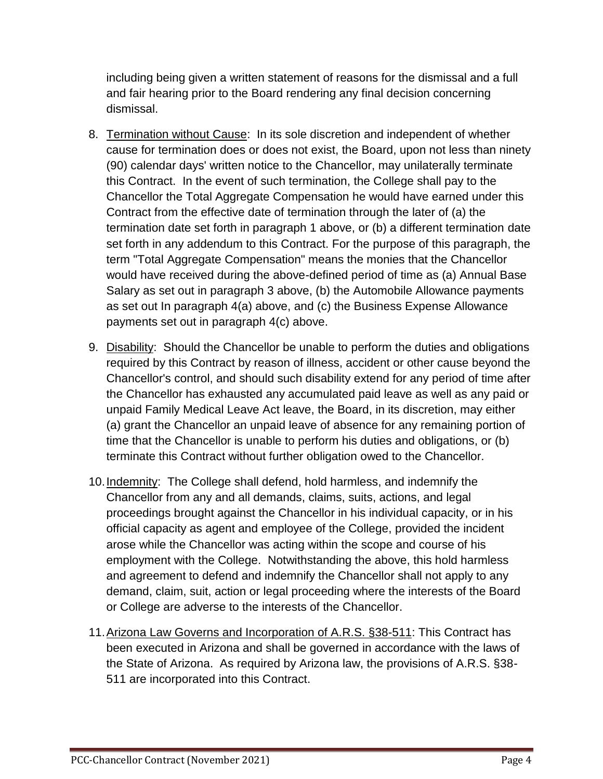including being given a written statement of reasons for the dismissal and a full and fair hearing prior to the Board rendering any final decision concerning dismissal.

- 8. Termination without Cause: In its sole discretion and independent of whether cause for termination does or does not exist, the Board, upon not less than ninety (90) calendar days' written notice to the Chancellor, may unilaterally terminate this Contract. In the event of such termination, the College shall pay to the Chancellor the Total Aggregate Compensation he would have earned under this Contract from the effective date of termination through the later of (a) the termination date set forth in paragraph 1 above, or (b) a different termination date set forth in any addendum to this Contract. For the purpose of this paragraph, the term "Total Aggregate Compensation" means the monies that the Chancellor would have received during the above-defined period of time as (a) Annual Base Salary as set out in paragraph 3 above, (b) the Automobile Allowance payments as set out In paragraph 4(a) above, and (c) the Business Expense Allowance payments set out in paragraph 4(c) above.
- 9. Disability: Should the Chancellor be unable to perform the duties and obligations required by this Contract by reason of illness, accident or other cause beyond the Chancellor's control, and should such disability extend for any period of time after the Chancellor has exhausted any accumulated paid leave as well as any paid or unpaid Family Medical Leave Act leave, the Board, in its discretion, may either (a) grant the Chancellor an unpaid leave of absence for any remaining portion of time that the Chancellor is unable to perform his duties and obligations, or (b) terminate this Contract without further obligation owed to the Chancellor.
- 10.Indemnity: The College shall defend, hold harmless, and indemnify the Chancellor from any and all demands, claims, suits, actions, and legal proceedings brought against the Chancellor in his individual capacity, or in his official capacity as agent and employee of the College, provided the incident arose while the Chancellor was acting within the scope and course of his employment with the College. Notwithstanding the above, this hold harmless and agreement to defend and indemnify the Chancellor shall not apply to any demand, claim, suit, action or legal proceeding where the interests of the Board or College are adverse to the interests of the Chancellor.
- 11.Arizona Law Governs and Incorporation of A.R.S. §38-511: This Contract has been executed in Arizona and shall be governed in accordance with the laws of the State of Arizona. As required by Arizona law, the provisions of A.R.S. §38- 511 are incorporated into this Contract.